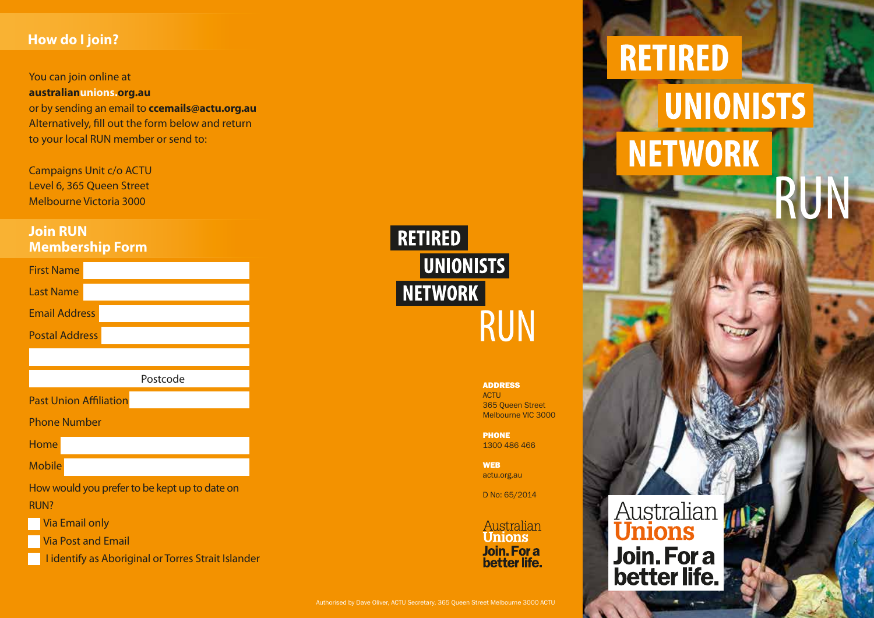## **How do I join?**

You can join online at **australianunions.org.au**  or by sending an email to **ccemails@actu.org.au** Alternatively, fill out the form below and return to your local RUN member or send to:

Campaigns Unit c/o ACTU Level 6, 365 Queen Street Melbourne Victoria 3000

### **Join RUN Membership Form**

| <b>First Name</b>                             |
|-----------------------------------------------|
| <b>Last Name</b>                              |
| <b>Email Address</b>                          |
| <b>Postal Address</b>                         |
|                                               |
| Postcode                                      |
| <b>Past Union Affiliation</b>                 |
| <b>Phone Number</b>                           |
| Home                                          |
| <b>Mobile</b>                                 |
| How would you prefer to be kept up to date on |
| <b>RUN?</b>                                   |
| <b>Via Email only</b>                         |
| <b>Via Post and Email</b>                     |





ADDRESS **ACTU** 365 Queen Street Melbourne VIC 3000

**PHONE** 1300 486 466

**WEB** actu.org.au

D No: 65/2014

Australian **Unions** Join. For a better life.

Authorised by Dave Oliver, ACTU Secretary, 365 Queen Street Melbourne 3000 ACTU

Australian<br>**Unions** Join. For a

**RETIRED** 

**NETWORK** 

**UNIONISTS**